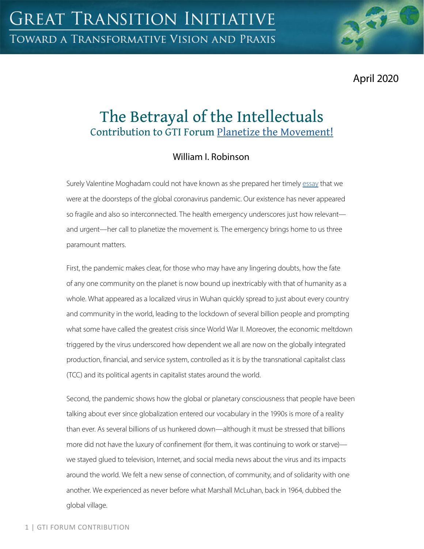April 2020

# The Betrayal of the Intellectuals Contribution to GTI Forum [Planetize the Movement!](https://greattransition.org/gti-forum/planetize-the-movement)

## William I. Robinson

Surely Valentine Moghadam could not have known as she prepared her timely [essay](https://greattransition.org/gti-forum/planetize-movement-moghadam) that we were at the doorsteps of the global coronavirus pandemic. Our existence has never appeared so fragile and also so interconnected. The health emergency underscores just how relevant and urgent—her call to planetize the movement is. The emergency brings home to us three paramount matters.

First, the pandemic makes clear, for those who may have any lingering doubts, how the fate of any one community on the planet is now bound up inextricably with that of humanity as a whole. What appeared as a localized virus in Wuhan quickly spread to just about every country and community in the world, leading to the lockdown of several billion people and prompting what some have called the greatest crisis since World War II. Moreover, the economic meltdown triggered by the virus underscored how dependent we all are now on the globally integrated production, financial, and service system, controlled as it is by the transnational capitalist class (TCC) and its political agents in capitalist states around the world.

Second, the pandemic shows how the global or planetary consciousness that people have been talking about ever since globalization entered our vocabulary in the 1990s is more of a reality than ever. As several billions of us hunkered down—although it must be stressed that billions more did not have the luxury of confinement (for them, it was continuing to work or starve) we stayed glued to television, Internet, and social media news about the virus and its impacts around the world. We felt a new sense of connection, of community, and of solidarity with one another. We experienced as never before what Marshall McLuhan, back in 1964, dubbed the global village.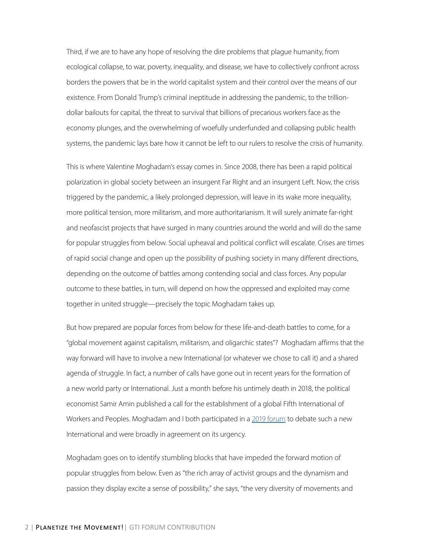Third, if we are to have any hope of resolving the dire problems that plague humanity, from ecological collapse, to war, poverty, inequality, and disease, we have to collectively confront across borders the powers that be in the world capitalist system and their control over the means of our existence. From Donald Trump's criminal ineptitude in addressing the pandemic, to the trilliondollar bailouts for capital, the threat to survival that billions of precarious workers face as the economy plunges, and the overwhelming of woefully underfunded and collapsing public health systems, the pandemic lays bare how it cannot be left to our rulers to resolve the crisis of humanity.

This is where Valentine Moghadam's essay comes in. Since 2008, there has been a rapid political polarization in global society between an insurgent Far Right and an insurgent Left. Now, the crisis triggered by the pandemic, a likely prolonged depression, will leave in its wake more inequality, more political tension, more militarism, and more authoritarianism. It will surely animate far-right and neofascist projects that have surged in many countries around the world and will do the same for popular struggles from below. Social upheaval and political conflict will escalate. Crises are times of rapid social change and open up the possibility of pushing society in many different directions, depending on the outcome of battles among contending social and class forces. Any popular outcome to these battles, in turn, will depend on how the oppressed and exploited may come together in united struggle—precisely the topic Moghadam takes up.

But how prepared are popular forces from below for these life-and-death battles to come, for a "global movement against capitalism, militarism, and oligarchic states"? Moghadam affirms that the way forward will have to involve a new International (or whatever we chose to call it) and a shared agenda of struggle. In fact, a number of calls have gone out in recent years for the formation of a new world party or International. Just a month before his untimely death in 2018, the political economist Samir Amin published a call for the establishment of a global Fifth International of Workers and Peoples. Moghadam and I both participated in a [2019 forum](https://jwsr.pitt.edu/ojs/jwsr/issue/view/75) to debate such a new International and were broadly in agreement on its urgency.

Moghadam goes on to identify stumbling blocks that have impeded the forward motion of popular struggles from below. Even as "the rich array of activist groups and the dynamism and passion they display excite a sense of possibility," she says, "the very diversity of movements and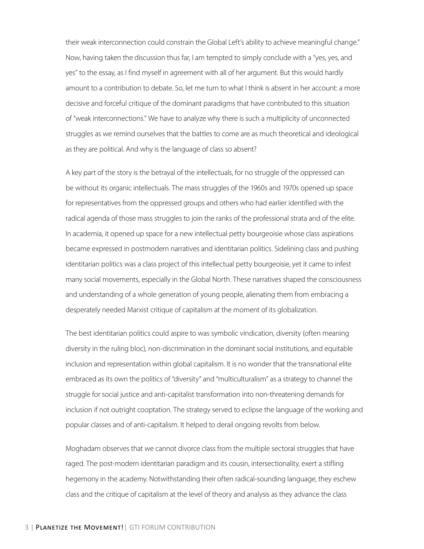their weak interconnection could constrain the Global Left's ability to achieve meaningful change." Now, having taken the discussion thus far, I am tempted to simply conclude with a "yes, yes, and yes" to the essay, as I find myself in agreement with all of her argument. But this would hardly amount to a contribution to debate. So, let me turn to what I think is absent in her account: a more decisive and forceful critique of the dominant paradigms that have contributed to this situation of "weak interconnections." We have to analyze why there is such a multiplicity of unconnected struggles as we remind ourselves that the battles to come are as much theoretical and ideological as they are political. And why is the language of class so absent?

A key part of the story is the betrayal of the intellectuals, for no struggle of the oppressed can be without its organic intellectuals. The mass struggles of the 1960s and 1970s opened up space for representatives from the oppressed groups and others who had earlier identified with the radical agenda of those mass struggles to join the ranks of the professional strata and of the elite. In academia, it opened up space for a new intellectual petty bourgeoisie whose class aspirations became expressed in postmodern narratives and identitarian politics. Sidelining class and pushing identitarian politics was a class project of this intellectual petty bourgeoisie, yet it came to infest many social movements, especially in the Global North. These narratives shaped the consciousness and understanding of a whole generation of young people, alienating them from embracing a desperately needed Marxist critique of capitalism at the moment of its globalization.

The best identitarian politics could aspire to was symbolic vindication, diversity (often meaning diversity in the ruling bloc), non-discrimination in the dominant social institutions, and equitable inclusion and representation within global capitalism. It is no wonder that the transnational elite embraced as its own the politics of "diversity" and "multiculturalism" as a strategy to channel the struggle for social justice and anti-capitalist transformation into non-threatening demands for inclusion if not outright cooptation. The strategy served to eclipse the language of the working and popular classes and of anti-capitalism. It helped to derail ongoing revolts from below.

Moghadam observes that we cannot divorce class from the multiple sectoral struggles that have raged. The post-modern identitarian paradigm and its cousin, intersectionality, exert a stifling hegemony in the academy. Notwithstanding their often radical-sounding language, they eschew class and the critique of capitalism at the level of theory and analysis as they advance the class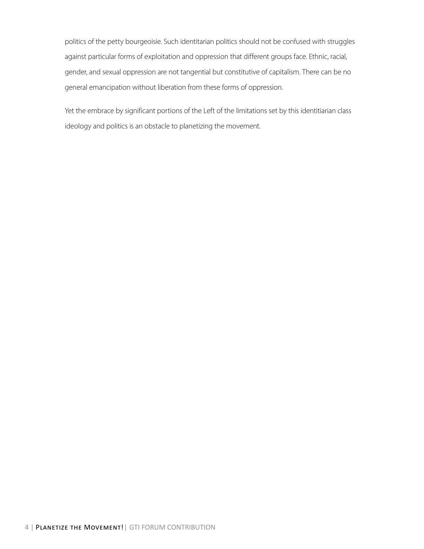politics of the petty bourgeoisie. Such identitarian politics should not be confused with struggles against particular forms of exploitation and oppression that different groups face. Ethnic, racial, gender, and sexual oppression are not tangential but constitutive of capitalism. There can be no general emancipation without liberation from these forms of oppression.

Yet the embrace by significant portions of the Left of the limitations set by this identitiarian class ideology and politics is an obstacle to planetizing the movement.